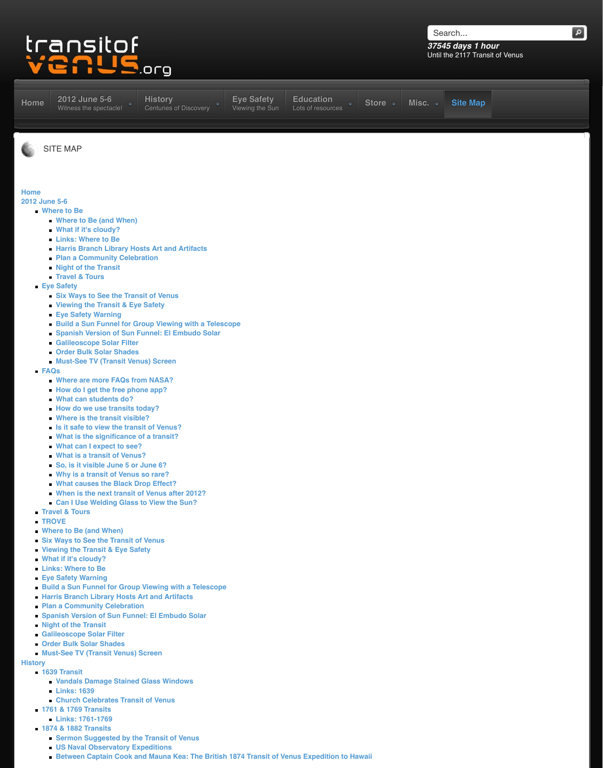- **Viewing the Transit & Eye Safety**
- **Eye Safety Warning**
- **Build a Sun Funnel for Group Viewing with a Telescope**
- **Spanish Version of Sun Funnel: El Embudo Solar**
- **Galileoscope Solar Filter**
- **Order Bulk Solar Shades**
- **Must-See TV (Transit Venus) Screen**
- **FAQs**
	- **Where are more FAQs from NASA?**
	- **How do I get the free phone app?**
	- **What can students do?**
	- **[How do we use transits t](http://www.transitofvenus.org/june2012)[oday?](http://www.transitofvenus.org/history)**
	- **Where is the transit visible?**
	- **Is it safe to view the transit of Venus?**
	- **What is the significance of a transit?**
	- **What can I expect to see?**
	- **What is a transit of Venus?**
	- **So, is it visible June 5 or June 6?**
	- **Why is a transit of Venus so rare?**
	- **What causes the Black Drop Effect?**
	- **When is the next transit of Venus after 2012?**
	- **[Can](http://www.transitofvenus.org/june2012) I Use Welding Glass to View the Sun?**
- **[Travel & Tou](http://www.transitofvenus.org/june2012/where-to-be)rs**
- **TR[OVE](http://www.transitofvenus.org/june2012/where-to-be/274-where-to-be-and-when)**
- **Wh[ere to Be \(and When](http://www.transitofvenus.org/june2012/where-to-be/302-what-if-its-cloudy))**
- **Six [Ways to See the Tra](http://www.transitofvenus.org/june2012/where-to-be/164-links-where-to-be)nsit of Venus**
- **Vie[wing the Transit & Eye Safety](http://www.transitofvenus.org/june2012/where-to-be/313-harris-branch-library-hosts-art-and-artifacts)**
- **Wh[at if it's cloudy?](http://www.transitofvenus.org/june2012/where-to-be/219-plan-a-community-celebration)**
- **Lin[ks: Where to Be](http://www.transitofvenus.org/june2012/where-to-be/218-night-of-the-transit)**
- **Eye [Safety Warning](http://www.transitofvenus.org/june2012/travel)**
- **[Build a Sun](http://www.transitofvenus.org/june2012/eye-safety) Funnel for Group Viewing with a Telescope**
- **Har[ris Branch Library Hosts Art and Artif](http://www.transitofvenus.org/june2012/eye-safety/281-six-ways-to-see-the-transit-of-venus)acts**
- **Pla[n a Community Celebration](http://www.transitofvenus.org/june2012/eye-safety/280-viewing-the-transit-eye-safety)**
- **Figure 3 Spa[nish Version of Sun](http://www.transitofvenus.org/june2012/eye-safety/336-eye-safety-warning) Funnel: El Embudo Solar**
- **Nig[ht of the Transit](http://www.transitofvenus.org/june2012/eye-safety/293-build-a-sun-funnel-for-group-viewing-with-a-telescope)**
- **Gali[leoscope Solar Filter](http://www.transitofvenus.org/june2012/eye-safety/308-el-embudo-solar)**
- **Ord[er Bulk Solar Shades](http://www.transitofvenus.org/june2012/eye-safety/339-galileoscope-solar-filter)**
- **Mu[st-See TV \(Transit Venus\) S](http://www.transitofvenus.org/june2012/eye-safety/338-order-bulk-solar-shades)creen**

# **History**

- **[1639 T](http://www.transitofvenus.org/june2012/faqs)ransit**
	- **[Vandals Damage Stained Glass Win](http://www.transitofvenus.org/faq/285-where-are-more-faqs-from-nasa)dows**
	- **[Links: 1639](http://www.transitofvenus.org/faq/337-how-do-i-get-the-free-phone-app)**
	- **[Church Celebrates Tran](http://www.transitofvenus.org/faq/145-what-can-students-do)sit of Venus**
- **176[1 & 1769 Transits](http://www.transitofvenus.org/faq/188-how-do-we-use-transits-today)**
	- **[Links: 1761-1769](http://www.transitofvenus.org/faq/31-where-is-the-transit-visible)**
- **187[4 & 1882 Transits](http://www.transitofvenus.org/faq/112-is-it-safe-to-view-the-transit-of-venus)**
	- **[Sermon Suggested by the Transit of](http://www.transitofvenus.org/faq/144-what-is-the-significance-of-a-transit) Venus**
	- **[US Naval Observatory Exp](http://www.transitofvenus.org/faq/142-what-can-i-expect-to-see)editions**
	- **[Between Captain Cook and](http://www.transitofvenus.org/faq/146-what-is-a-transit-of-venus) Mauna Kea: The British 1874 Transit of Venus Expedition to Hawaii**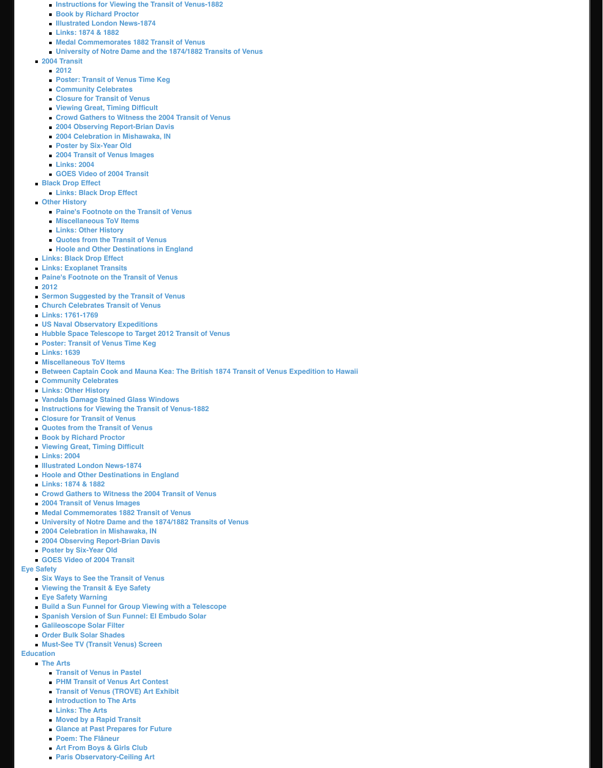- Church Celebrates Transit of Venus
- Links: 1761-1769
- **US Naval Observatory Expeditions**
- Hubble Space Telescope to Target 2012 Transit of Venus
- Poster: Transit of Venus Time Keg
- **Links: 1639**
- Miscellaneous ToV Items
- **Between Captain Cook and Mauna Kea: The British 1874 Transit of Venus Expedition to Hawaii**
- **Community Celebrates**
- **Links: Other History**
- Vandals Damage Stained Glass Windows
- Instructions for Viewing the Transit of Venus-1882
- Closure for Transit of Venus
- **Quotes from the Transit of Venus**
- **Book by Richard Proctor**
- Viewing Great, Timing Difficult
- **Links: 2004**
- **Illustrated London News-1874**
- Hoole and Other Destinations in England
- Links: 1874 & 1882
- Crowd Gathers to Witness the 2004 Transit of Venus
- 2004 Transit of Venus Images
- Medal Commemorates 1882 Transit of Venus
- University of Notre Dame and the 1874/1882 Transits of Venus
- 2004 Celebration in Mishawaka, IN
- 2004 Observing Report-Brian Davis
- **Poster by Six-Year Old**
- GOES Video of 2004 Transit

## **Eye Safety**

- Six Ways to See the Transit of Venus
- Viewing the Transit & Eye Safety
- **Eye Safety Warning**
- **Build a Sun Funnel for Group Viewing with a Telescope**
- Spanish Version of Sun Funnel: El Embudo Solar
- **Galileoscope Solar Filter**
- Order Bulk Solar Shades
- Must-See TV (Transit Venus) Screen

## **Education**

- **The Arts** 
	- **Transit of Venus in Pastel**
	- **PHM Transit of Venus Art Contest**
	- Transit of Venus (TROVE) Art Exhibit
	- Introduction to The Arts
	- **Links: The Arts**
	- Moved by a Rapid Transit
	- Glance at Past Prepares for Future
	- **Poem: The Flâneur**
	- **Art From Boys & Girls Club**
	- **Paris Observatory-Ceiling Art**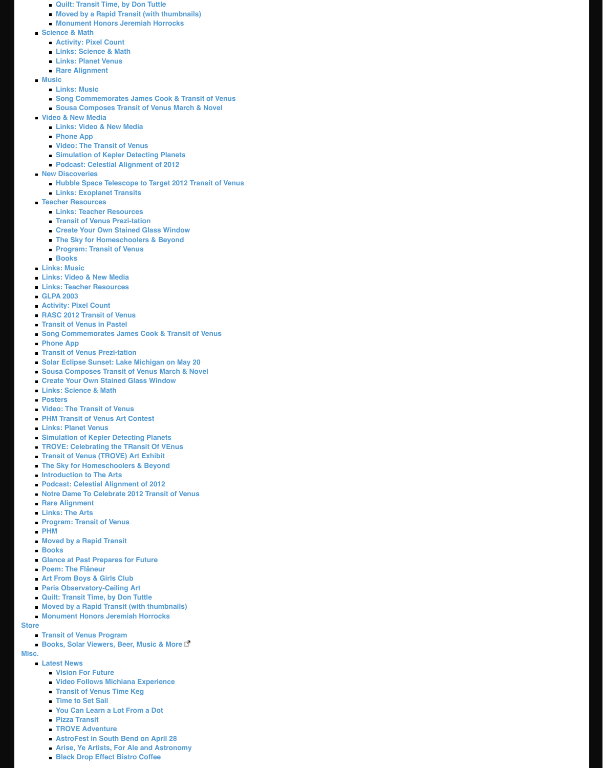- **Acti[vity: Pixel Count](http://www.transitofvenus.org/education/the-arts/204-quilt-transit-time-by-don-tuttle)**
- **RA[SC 2012 Transit of Venus](http://www.transitofvenus.org/education/the-arts/198-moved-by-a-rapid-transit-with-thumbnails)**
- **Tra[nsit of Venus in Pastel](http://www.transitofvenus.org/education/the-arts/150-monument-honors-jeremiah-horrocks)**
- **[Song Commem](http://www.transitofvenus.org/education/science-math)orates James Cook & Transit of Venus**
- **Pho[ne App](http://www.transitofvenus.org/education/science-math/316-activity-pixel-count)**
- **Tra[nsit of Venus Prezi-tatio](http://www.transitofvenus.org/education/science-math/176-links-science-math)n**
- **Sol[ar Eclipse Sunset: La](http://www.transitofvenus.org/education/science-math/221-planet-venus)ke Michigan on May 20**
- **Sou[sa Composes Tr](http://www.transitofvenus.org/education/science-math/141-rare-alignment)ansit of Venus March & Novel**
- **[Create](http://www.transitofvenus.org/education/music) Your Own Stained Glass Window**
- **Lin[ks: Science &](http://www.transitofvenus.org/education/music/162-links-music) Math**
- **Pos[ters](http://www.transitofvenus.org/education/music/149-song-mackey)**
- **Vid[eo: The Transit of Venus](http://www.transitofvenus.org/education/music/148-sousa-composes-transit-of-venus-march)**
- **[PHM Transit of Venu](http://www.transitofvenus.org/education/video-new-media)s Art Contest**
- **Lin[ks: Planet Venus](http://www.transitofvenus.org/education/video-new-media/163-links-video-new-media)**
- **Sim[ulation of K](http://www.transitofvenus.org/education/video-new-media/217-phone-app)epler Detecting Planets**
- **TR[OVE: Celebrating the TRansit](http://www.transitofvenus.org/education/video-new-media/325-trailer) Of VEnus**
- **Tra[nsit of Venus \(TROVE\) Art Exhibit](http://www.transitofvenus.org/education/video-new-media/224-simulation-of-kepler-detecting-planets)**
- **The [Sky for Homeschoolers & Beyond](http://www.transitofvenus.org/education/video-new-media/171-podcast-celestial-alignment-of-2012)**
- **[Introduction to T](http://www.transitofvenus.org/education/new-discoveries)he Arts**
- **Pod[cast: Celestial Alignment of 2012](http://www.transitofvenus.org/education/new-discoveries/296-hubble-space-telescope-to-target-2012-transit-of-venus)**
- **Not[re Dame To Celebrate 2012](http://www.transitofvenus.org/education/new-discoveries/186-links-exoplanet-transits) Transit of Venus**
- **[Rare Alignment](http://www.transitofvenus.org/education/teacher-resources)**
- **Lin[ks: The Arts](http://www.transitofvenus.org/education/teacher-resources/172-links-teacher-resources)**
- **Pro[gram: Transit of Venus](http://www.transitofvenus.org/education/teacher-resources/275-transit-of-venus-prezi-tation)**
- **PH[M](http://www.transitofvenus.org/education/teacher-resources/152-create-your-own-stained-glass-window)**
- **Mo[ved by a Rapid Transit](http://www.transitofvenus.org/education/teacher-resources/331-the-sky-for-homeschoolers-a-beyond)**
- **Bo[oks](http://www.transitofvenus.org/education/teacher-resources/169-program-transit-of-venus)**
- **Gla[nce at P](http://www.transitofvenus.org/education/teacher-resources/179-books)ast Prepares for Future**
- **[Poem: The F](http://www.transitofvenus.org/education/music/162-links-music)lâneur**
- **[Art From Boys & Girls Clu](http://www.transitofvenus.org/education/video-new-media/163-links-video-new-media)b**
- **[Paris Observatory-Ceiling](http://www.transitofvenus.org/education/teacher-resources/172-links-teacher-resources) Art**
- **[Quilt: Trans](http://www.transitofvenus.org/education/58-glpa/206-glpa-2003-)it Time, by Don Tuttle**
- **[Moved by a Rapid Tr](http://www.transitofvenus.org/education/science-math/316-activity-pixel-count)ansit (with thumbnails)**
- **[Monument Honors Jeremiah](http://www.transitofvenus.org/education/53-publications/318-rasc-the-2012-transit-of-venus) Horrocks**

## **Store**

- **[Transit of Venus Program](http://www.transitofvenus.org/education/music/149-song-mackey)**
- **[Books, Sola](http://www.transitofvenus.org/education/video-new-media/217-phone-app)r Viewers, Beer, Music & More**

## **Misc.**

- **[Latest News](http://www.transitofvenus.org/education/80-trove/329-2012eclipse)**
	- **[Vision For Future](http://www.transitofvenus.org/education/music/148-sousa-composes-transit-of-venus-march)**
	- **[Video Follows Michiana Experience](http://www.transitofvenus.org/education/teacher-resources/152-create-your-own-stained-glass-window)**
	- **[Transit of Venus T](http://www.transitofvenus.org/education/science-math/176-links-science-math)ime Keg**
	- **[Tim](http://www.transitofvenus.org/education/80-trove/322-posters)e to Set Sail**
	- **[You Can Learn a Lot Fro](http://www.transitofvenus.org/education/video-new-media/325-trailer)m a Dot**
	- **[Pizza Transit](http://www.transitofvenus.org/education/the-arts/333-phm-art-contest)**
	- **[TROVE Adventu](http://www.transitofvenus.org/education/science-math/221-planet-venus)re**
	- **[AstroFest in South Bend on April 2](http://www.transitofvenus.org/education/video-new-media/224-simulation-of-kepler-detecting-planets)8**
	- **[Arise, Ye Artists, For Ale and Astronom](http://www.transitofvenus.org/june2012/trove)y**
	- **[Black Drop Effect Bistro Coffee](http://www.transitofvenus.org/education/the-arts/328-art-show)**